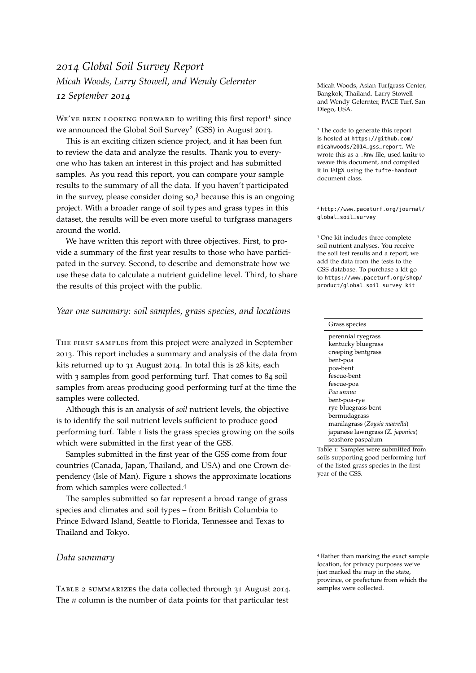# *2014 Global Soil Survey Report Micah Woods, Larry Stowell, and Wendy Gelernter 12 September 2014*

WE'VE BEEN LOOKING FORWARD to writing this first report<sup>1</sup> since we announced the Global Soil Survey<sup>2</sup> (GSS) in August 2013.

This is an exciting citizen science project, and it has been fun to review the data and analyze the results. Thank you to everyone who has taken an interest in this project and has submitted samples. As you read this report, you can compare your sample results to the summary of all the data. If you haven't participated in the survey, please consider doing  $\text{so,}^3$  because this is an ongoing project. With a broader range of soil types and grass types in this dataset, the results will be even more useful to turfgrass managers around the world.

We have written this report with three objectives. First, to provide a summary of the first year results to those who have participated in the survey. Second, to describe and demonstrate how we use these data to calculate a nutrient guideline level. Third, to share the results of this project with the public.

### <span id="page-0-0"></span>*Year one summary: soil samples, grass species, and locations*

The first samples from this project were analyzed in September 2013. This report includes a summary and analysis of the data from kits returned up to 31 August 2014. In total this is 28 kits, each with 3 samples from good performing turf. That comes to 84 soil samples from areas producing good performing turf at the time the samples were collected.

Although this is an analysis of *soil* nutrient levels, the objective is to identify the soil nutrient levels sufficient to produce good performing turf. Table [1](#page-0-0) lists the grass species growing on the soils which were submitted in the first year of the GSS.

Samples submitted in the first year of the GSS come from four countries (Canada, Japan, Thailand, and USA) and one Crown dependency (Isle of Man). Figure [1](#page-0-0) shows the approximate locations from which samples were collected.<sup>4</sup>

The samples submitted so far represent a broad range of grass species and climates and soil types – from British Columbia to Prince Edward Island, Seattle to Florida, Tennessee and Texas to Thailand and Tokyo.

#### <span id="page-0-1"></span>*Data summary*

Table [2](#page-0-1) summarizes the data collected through 31 August 2014. The *n* column is the number of data points for that particular test

Micah Woods, Asian Turfgrass Center, Bangkok, Thailand. Larry Stowell and Wendy Gelernter, PACE Turf, San Diego, USA.

<sup>1</sup> The code to generate this report is hosted at [https://github.com/](https://github.com/micahwoods/2014_gss_report) [micahwoods/2014\\_gss\\_report](https://github.com/micahwoods/2014_gss_report). We wrote this as a .Rnw file, used **knitr** to weave this document, and compiled it in LATEX using the tufte-handout document class.

<sup>2</sup> [http://www.paceturf.org/journal/](http://www.paceturf.org/journal/global_soil_survey) [global\\_soil\\_survey](http://www.paceturf.org/journal/global_soil_survey)

<sup>3</sup> One kit includes three complete soil nutrient analyses. You receive the soil test results and a report; we add the data from the tests to the GSS database. To purchase a kit go to [https://www.paceturf.org/shop/](https://www.paceturf.org/shop/product/global_soil_survey_kit) [product/global\\_soil\\_survey\\_kit](https://www.paceturf.org/shop/product/global_soil_survey_kit)

#### Grass species

perennial ryegrass kentucky bluegrass creeping bentgrass bent-poa poa-bent fescue-bent fescue-poa *Poa annua* bent-poa-rye rye-bluegrass-bent bermudagrass manilagrass (*Zoysia matrella*) japanese lawngrass (*Z. japonica*) seashore paspalum

Table 1: Samples were submitted from soils supporting good performing turf of the listed grass species in the first year of the GSS.

<sup>4</sup> Rather than marking the exact sample location, for privacy purposes we've just marked the map in the state, province, or prefecture from which the samples were collected.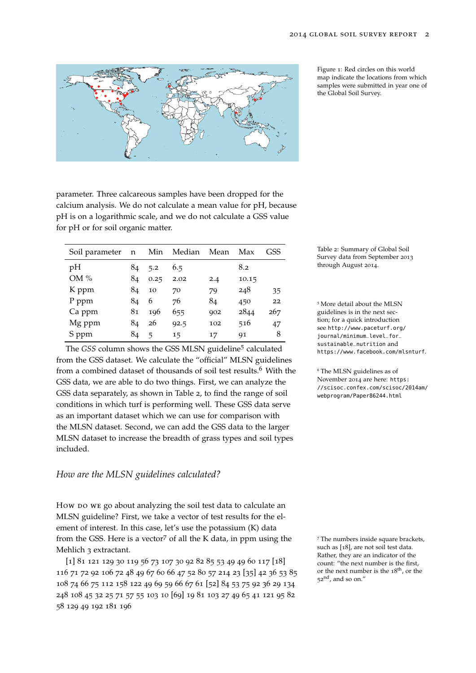

parameter. Three calcareous samples have been dropped for the calcium analysis. We do not calculate a mean value for pH, because pH is on a logarithmic scale, and we do not calculate a GSS value for pH or for soil organic matter.

| Soil parameter | n  | Min  | Median | Mean | Max   | GSS |
|----------------|----|------|--------|------|-------|-----|
| pН             | 84 | 5.2  | 6.5    |      | 8.2   |     |
| OM %           | 84 | 0.25 | 2.02   | 2.4  | 10.15 |     |
| K ppm          | 84 | 10   | 70     | 79   | 248   | 35  |
| P ppm          | 84 | 6    | 76     | 84   | 450   | 22  |
| Ca ppm         | 81 | 196  | 655    | 902  | 2844  | 267 |
| Mg ppm         | 84 | 26   | 92.5   | 102  | 516   | 47  |
| S ppm          | 84 | 5    | 15     | 17   | 91    | 8   |

The *GSS* column shows the GSS MLSN guideline<sup>5</sup> calculated from the GSS dataset. We calculate the "official" MLSN guidelines from a combined dataset of thousands of soil test results.<sup>6</sup> With the  $6$  The MLSN guidelines as of GSS data, we are able to do two things. First, we can analyze the GSS data separately, as shown in Table [2](#page-0-1), to find the range of soil conditions in which turf is performing well. These GSS data serve as an important dataset which we can use for comparison with the MLSN dataset. Second, we can add the GSS data to the larger MLSN dataset to increase the breadth of grass types and soil types included.

#### <span id="page-1-0"></span>*How are the MLSN guidelines calculated?*

How po we go about analyzing the soil test data to calculate an MLSN guideline? First, we take a vector of test results for the element of interest. In this case, let's use the potassium (K) data from the GSS. Here is a vector<sup>7</sup> of all the K data, in ppm using the  $7$  The numbers inside square brackets, Mehlich 3 extractant.

[1] 81 121 129 30 119 56 73 107 30 92 82 85 53 49 49 60 117 [18] 116 71 72 92 106 72 48 49 67 60 66 47 52 80 57 214 23 [35] 42 36 53 85 108 74 66 75 112 158 122 49 69 59 66 67 61 [52] 84 53 75 92 36 29 134 248 108 45 32 25 71 57 55 103 10 [69] 19 81 103 27 49 65 41 121 95 82 58 129 49 192 181 196

Figure 1: Red circles on this world map indicate the locations from which samples were submitted in year one of the Global Soil Survey.

Table 2: Summary of Global Soil Survey data from September 2013 through August 2014.

<sup>5</sup> More detail about the MLSN guidelines is in the next section; for a quick introduction see [http://www.paceturf.org/](http://www.paceturf.org/journal/minimum_level_for_sustainable_nutrition) [journal/minimum\\_level\\_for\\_](http://www.paceturf.org/journal/minimum_level_for_sustainable_nutrition) [sustainable\\_nutrition](http://www.paceturf.org/journal/minimum_level_for_sustainable_nutrition) and <https://www.facebook.com/mlsnturf>.

November 2014 are here: [https:](https://scisoc.confex.com/scisoc/2014am/webprogram/Paper86244.html) [//scisoc.confex.com/scisoc/2014am/](https://scisoc.confex.com/scisoc/2014am/webprogram/Paper86244.html) [webprogram/Paper86244.html](https://scisoc.confex.com/scisoc/2014am/webprogram/Paper86244.html)

such as [18], are not soil test data. Rather, they are an indicator of the count: "the next number is the first, or the next number is the 18th, or the  $52<sup>nd</sup>$ , and so on."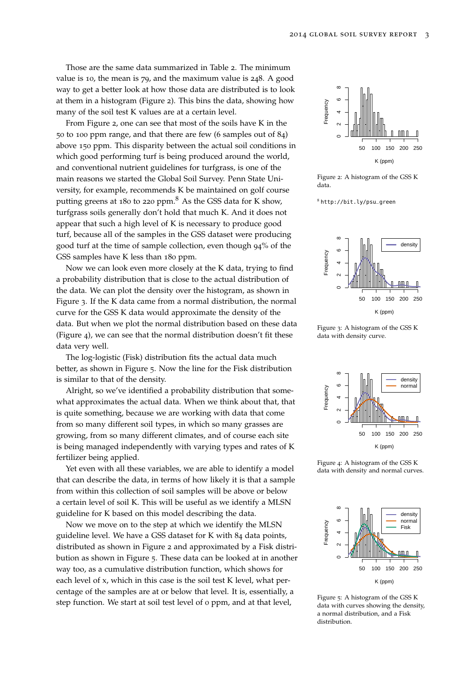Those are the same data summarized in Table [2](#page-0-1). The minimum value is 10, the mean is 79, and the maximum value is 248. A good way to get a better look at how those data are distributed is to look at them in a histogram (Figure [2](#page-1-0)). This bins the data, showing how many of the soil test K values are at a certain level.

From Figure [2](#page-1-0), one can see that most of the soils have K in the 50 to 100 ppm range, and that there are few (6 samples out of 84) above 150 ppm. This disparity between the actual soil conditions in which good performing turf is being produced around the world, and conventional nutrient guidelines for turfgrass, is one of the main reasons we started the Global Soil Survey. Penn State University, for example, recommends K be maintained on golf course putting greens at 180 to 220 ppm.<sup>8</sup> As the GSS data for K show, <sup>8</sup> [http://bit.ly/psu\\_green](http://bit.ly/psu_green) turfgrass soils generally don't hold that much K. And it does not appear that such a high level of K is necessary to produce good turf, because all of the samples in the GSS dataset were producing good turf at the time of sample collection, even though 94% of the GSS samples have K less than 180 ppm.

Now we can look even more closely at the K data, trying to find a probability distribution that is close to the actual distribution of the data. We can plot the density over the histogram, as shown in Figure [3](#page-1-0). If the K data came from a normal distribution, the normal curve for the GSS K data would approximate the density of the data. But when we plot the normal distribution based on these data (Figure [4](#page-1-0)), we can see that the normal distribution doesn't fit these data very well.

The log-logistic (Fisk) distribution fits the actual data much better, as shown in Figure [5](#page-1-0). Now the line for the Fisk distribution is similar to that of the density.

Alright, so we've identified a probability distribution that somewhat approximates the actual data. When we think about that, that is quite something, because we are working with data that come from so many different soil types, in which so many grasses are growing, from so many different climates, and of course each site is being managed independently with varying types and rates of K fertilizer being applied.

Yet even with all these variables, we are able to identify a model that can describe the data, in terms of how likely it is that a sample from within this collection of soil samples will be above or below a certain level of soil K. This will be useful as we identify a MLSN guideline for K based on this model describing the data.

Now we move on to the step at which we identify the MLSN guideline level. We have a GSS dataset for K with 84 data points, distributed as shown in Figure [2](#page-1-0) and approximated by a Fisk distribution as shown in Figure [5](#page-1-0). These data can be looked at in another way too, as a cumulative distribution function, which shows for each level of x, which in this case is the soil test K level, what percentage of the samples are at or below that level. It is, essentially, a step function. We start at soil test level of 0 ppm, and at that level,



Figure 2: A histogram of the GSS K data.



Figure 3: A histogram of the GSS K data with density curve.



Figure 4: A histogram of the GSS K data with density and normal curves.



Figure 5: A histogram of the GSS K data with curves showing the density, a normal distribution, and a Fisk distribution.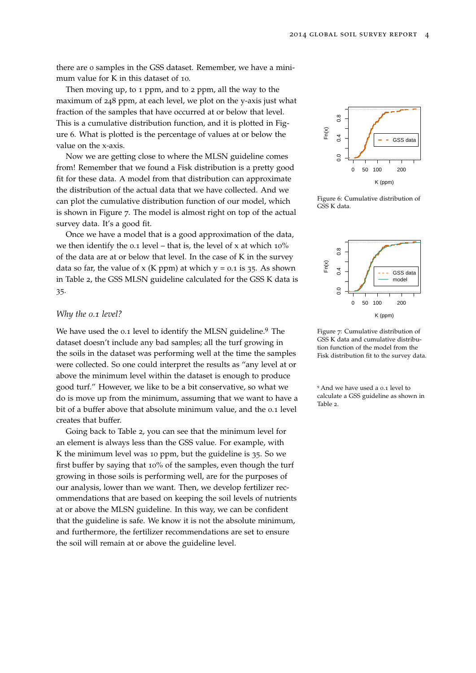there are 0 samples in the GSS dataset. Remember, we have a minimum value for K in this dataset of 10.

Then moving up, to 1 ppm, and to 2 ppm, all the way to the maximum of 248 ppm, at each level, we plot on the y-axis just what fraction of the samples that have occurred at or below that level. This is a cumulative distribution function, and it is plotted in Figure [6](#page-1-0). What is plotted is the percentage of values at or below the value on the x-axis.

Now we are getting close to where the MLSN guideline comes from! Remember that we found a Fisk distribution is a pretty good fit for these data. A model from that distribution can approximate the distribution of the actual data that we have collected. And we can plot the cumulative distribution function of our model, which is shown in Figure [7](#page-1-0). The model is almost right on top of the actual survey data. It's a good fit.

Once we have a model that is a good approximation of the data, we then identify the 0.1 level – that is, the level of x at which  $10\%$ of the data are at or below that level. In the case of K in the survey data so far, the value of x (K ppm) at which  $y = 0.1$  is 35. As shown in Table [2](#page-0-1), the GSS MLSN guideline calculated for the GSS K data is 35.

#### *Why the 0.1 level?*

We have used the 0.1 level to identify the MLSN guideline.<sup>9</sup> The dataset doesn't include any bad samples; all the turf growing in the soils in the dataset was performing well at the time the samples were collected. So one could interpret the results as "any level at or above the minimum level within the dataset is enough to produce good turf." However, we like to be a bit conservative, so what we do is move up from the minimum, assuming that we want to have a bit of a buffer above that absolute minimum value, and the 0.1 level creates that buffer.

Going back to Table [2](#page-0-1), you can see that the minimum level for an element is always less than the GSS value. For example, with K the minimum level was 10 ppm, but the guideline is 35. So we first buffer by saying that 10% of the samples, even though the turf growing in those soils is performing well, are for the purposes of our analysis, lower than we want. Then, we develop fertilizer recommendations that are based on keeping the soil levels of nutrients at or above the MLSN guideline. In this way, we can be confident that the guideline is safe. We know it is not the absolute minimum, and furthermore, the fertilizer recommendations are set to ensure the soil will remain at or above the guideline level.



Figure 6: Cumulative distribution of GSS K data.



Figure 7: Cumulative distribution of GSS K data and cumulative distribution function of the model from the Fisk distribution fit to the survey data.

<sup>9</sup> And we have used a 0.1 level to calculate a GSS guideline as shown in Table [2](#page-0-1).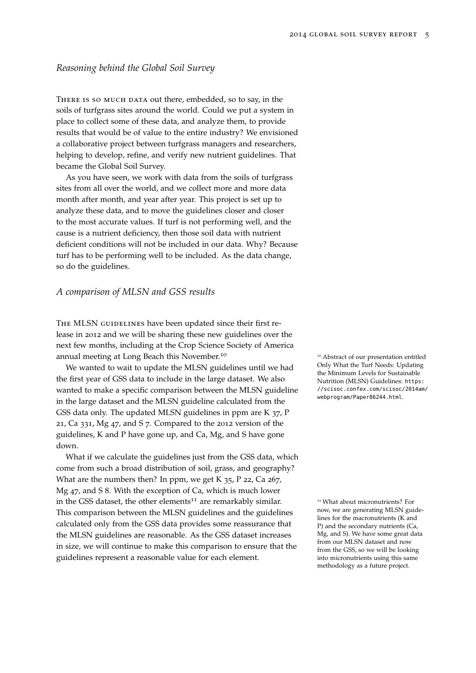## *Reasoning behind the Global Soil Survey*

THERE IS SO MUCH DATA out there, embedded, so to say, in the soils of turfgrass sites around the world. Could we put a system in place to collect some of these data, and analyze them, to provide results that would be of value to the entire industry? We envisioned a collaborative project between turfgrass managers and researchers, helping to develop, refine, and verify new nutrient guidelines. That became the Global Soil Survey.

As you have seen, we work with data from the soils of turfgrass sites from all over the world, and we collect more and more data month after month, and year after year. This project is set up to analyze these data, and to move the guidelines closer and closer to the most accurate values. If turf is not performing well, and the cause is a nutrient deficiency, then those soil data with nutrient deficient conditions will not be included in our data. Why? Because turf has to be performing well to be included. As the data change, so do the guidelines.

#### *A comparison of MLSN and GSS results*

THE MLSN GUIDELINES have been updated since their first release in 2012 and we will be sharing these new guidelines over the next few months, including at the Crop Science Society of America annual meeting at Long Beach this November.<sup>10</sup> 10 10 abstract of our presentation entitled

We wanted to wait to update the MLSN guidelines until we had the first year of GSS data to include in the large dataset. We also wanted to make a specific comparison between the MLSN guideline in the large dataset and the MLSN guideline calculated from the GSS data only. The updated MLSN guidelines in ppm are K 37, P 21, Ca 331, Mg 47, and S 7. Compared to the 2012 version of the guidelines, K and P have gone up, and Ca, Mg, and S have gone down.

What if we calculate the guidelines just from the GSS data, which come from such a broad distribution of soil, grass, and geography? What are the numbers then? In ppm, we get K  $35$ , P 22, Ca 267, Mg 47, and S 8. With the exception of Ca, which is much lower in the GSS dataset, the other elements<sup>11</sup> are remarkably similar.  $11$  What about micronutrients? For This comparison between the MLSN guidelines and the guidelines calculated only from the GSS data provides some reassurance that the MLSN guidelines are reasonable. As the GSS dataset increases in size, we will continue to make this comparison to ensure that the guidelines represent a reasonable value for each element.

Only What the Turf Needs: Updating the Minimum Levels for Sustainable Nutrition (MLSN) Guidelines: [https:](https://scisoc.confex.com/scisoc/2014am/webprogram/Paper86244.html) [//scisoc.confex.com/scisoc/2014am/](https://scisoc.confex.com/scisoc/2014am/webprogram/Paper86244.html) [webprogram/Paper86244.html](https://scisoc.confex.com/scisoc/2014am/webprogram/Paper86244.html).

now, we are generating MLSN guidelines for the macronutrients (K and P) and the secondary nutrients (Ca, Mg, and S). We have some great data from our MLSN dataset and now from the GSS, so we will be looking into micronutrients using this same methodology as a future project.